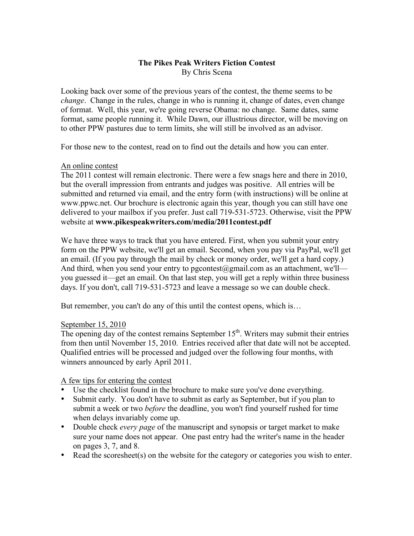## **The Pikes Peak Writers Fiction Contest** By Chris Scena

Looking back over some of the previous years of the contest, the theme seems to be *change*. Change in the rules, change in who is running it, change of dates, even change of format. Well, this year, we're going reverse Obama: no change. Same dates, same format, same people running it. While Dawn, our illustrious director, will be moving on to other PPW pastures due to term limits, she will still be involved as an advisor.

For those new to the contest, read on to find out the details and how you can enter.

## An online contest

The 2011 contest will remain electronic. There were a few snags here and there in 2010, but the overall impression from entrants and judges was positive. All entries will be submitted and returned via email, and the entry form (with instructions) will be online at www.ppwc.net. Our brochure is electronic again this year, though you can still have one delivered to your mailbox if you prefer. Just call 719-531-5723. Otherwise, visit the PPW website at **www.pikespeakwriters.com/media/2011contest.pdf**

We have three ways to track that you have entered. First, when you submit your entry form on the PPW website, we'll get an email. Second, when you pay via PayPal, we'll get an email. (If you pay through the mail by check or money order, we'll get a hard copy.) And third, when you send your entry to pgcontest@gmail.com as an attachment, we'll you guessed it—get an email. On that last step, you will get a reply within three business days. If you don't, call 719-531-5723 and leave a message so we can double check.

But remember, you can't do any of this until the contest opens, which is…

## September 15, 2010

The opening day of the contest remains September  $15<sup>th</sup>$ . Writers may submit their entries from then until November 15, 2010. Entries received after that date will not be accepted. Qualified entries will be processed and judged over the following four months, with winners announced by early April 2011.

A few tips for entering the contest

- Use the checklist found in the brochure to make sure you've done everything.
- Submit early. You don't have to submit as early as September, but if you plan to submit a week or two *before* the deadline, you won't find yourself rushed for time when delays invariably come up.
- Double check *every page* of the manuscript and synopsis or target market to make sure your name does not appear. One past entry had the writer's name in the header on pages 3, 7, and 8.
- Read the scoresheet(s) on the website for the category or categories you wish to enter.